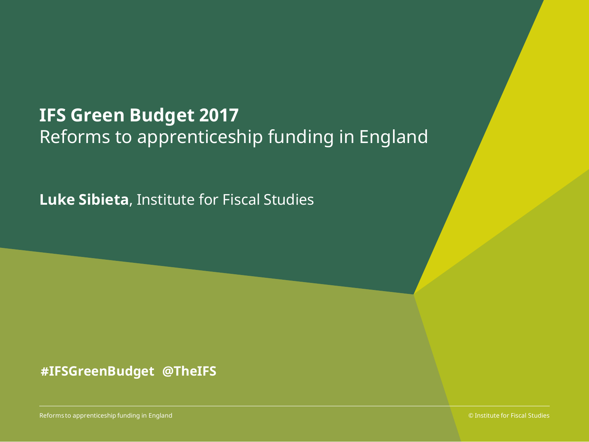## **IFS Green Budget 2017** Reforms to apprenticeship funding in England

**Luke Sibieta**, Institute for Fiscal Studies

#### **#IFSGreenBudget @TheIFS**

Reforms to apprenticeship funding in England © Institute for Fiscal Studies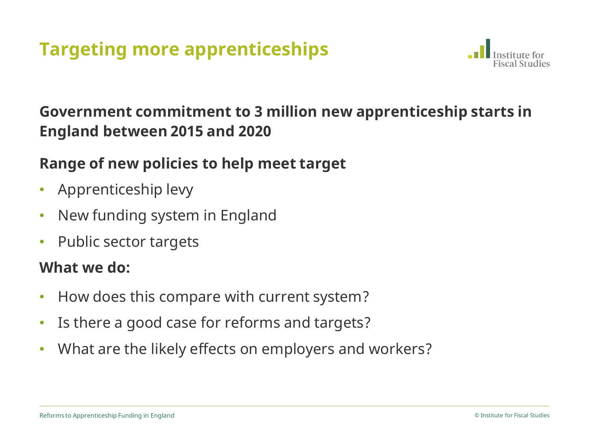# **Targeting more apprenticeships**



### **Government commitment to 3 million new apprenticeship starts in England between 2015 and 2020**

#### **Range of new policies to help meet target**

- Apprenticeship levy
- New funding system in England
- Public sector targets

#### **What we do:**

- How does this compare with current system?
- Is there a good case for reforms and targets?
- What are the likely effects on employers and workers?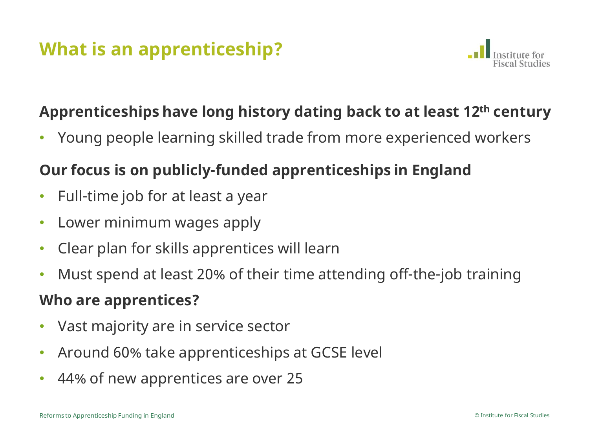# **What is an apprenticeship?**



## **Apprenticeships have long history dating back to at least 12th century**

• Young people learning skilled trade from more experienced workers

#### **Our focus is on publicly-funded apprenticeships in England**

- Full-time job for at least a year
- Lower minimum wages apply
- Clear plan for skills apprentices will learn
- Must spend at least 20% of their time attending off-the-job training

#### **Who are apprentices?**

- Vast majority are in service sector
- Around 60% take apprenticeships at GCSE level
- 44% of new apprentices are over 25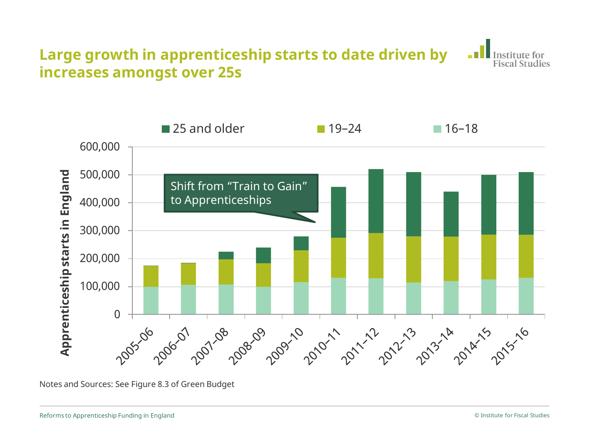#### **Large growth in apprenticeship starts to date driven by increases amongst over 25s**





Notes and Sources: See Figure 8.3 of Green Budget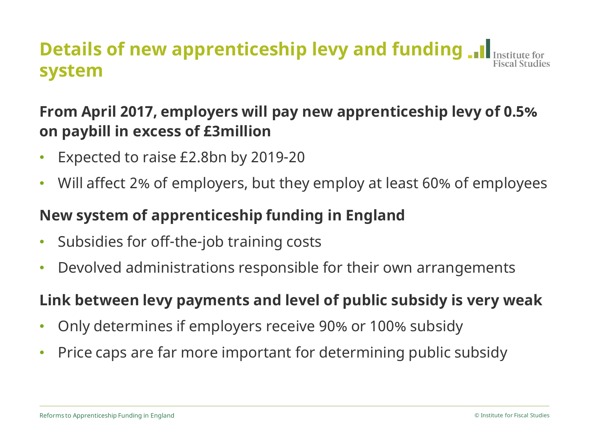## **Details of new apprenticeship levy and funding ...** I Institute for **system**

## **From April 2017, employers will pay new apprenticeship levy of 0.5% on paybill in excess of £3million**

- Expected to raise £2.8bn by 2019-20
- Will affect 2% of employers, but they employ at least 60% of employees

### **New system of apprenticeship funding in England**

- Subsidies for off-the-job training costs
- Devolved administrations responsible for their own arrangements

#### **Link between levy payments and level of public subsidy is very weak**

- Only determines if employers receive 90% or 100% subsidy
- Price caps are far more important for determining public subsidy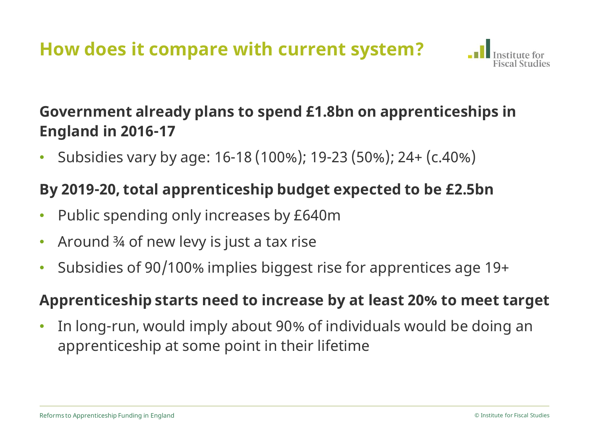**How does it compare with current system?**



## **Government already plans to spend £1.8bn on apprenticeships in England in 2016-17**

• Subsidies vary by age: 16-18 (100%); 19-23 (50%); 24+ (c.40%)

### **By 2019-20, total apprenticeship budget expected to be £2.5bn**

- Public spending only increases by £640m
- Around ¾ of new levy is just a tax rise
- Subsidies of 90/100% implies biggest rise for apprentices age 19+

#### **Apprenticeship starts need to increase by at least 20% to meet target**

In long-run, would imply about 90% of individuals would be doing an apprenticeship at some point in their lifetime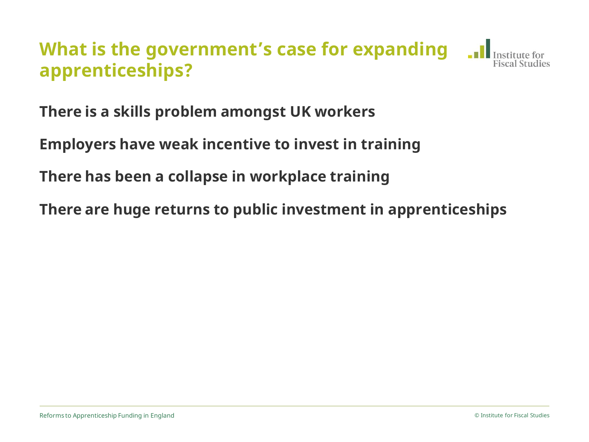# **What is the government's case for expanding apprenticeships?**



**There is a skills problem amongst UK workers** 

**Employers have weak incentive to invest in training**

**There has been a collapse in workplace training**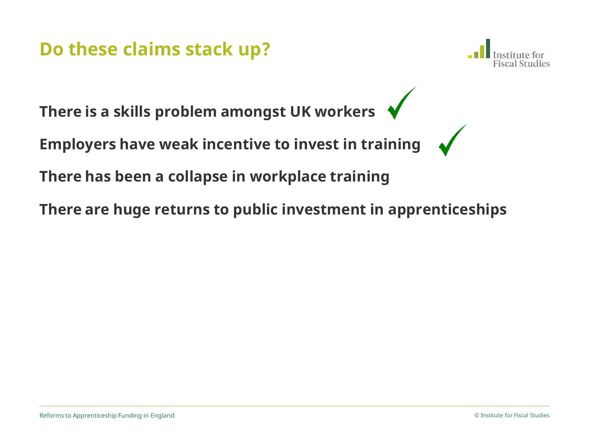## **Do these claims stack up?**



**There is a skills problem amongst UK workers** 

**Employers have weak incentive to invest in training**

**There has been a collapse in workplace training**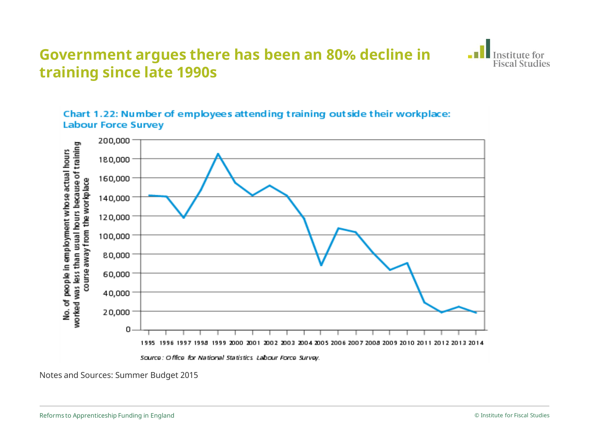#### **Government argues there has been an 80% decline in training since late 1990s**





#### Chart 1.22: Number of employees attending training outside their workplace: **Labour Force Survey**

Notes and Sources: Summer Budget 2015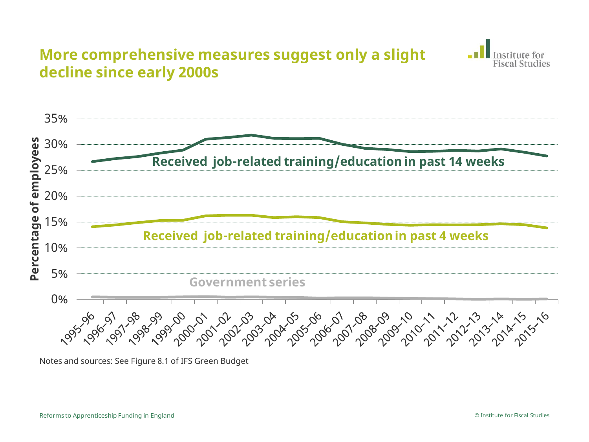

Notes and sources: See Figure 8.1 of IFS Green Budget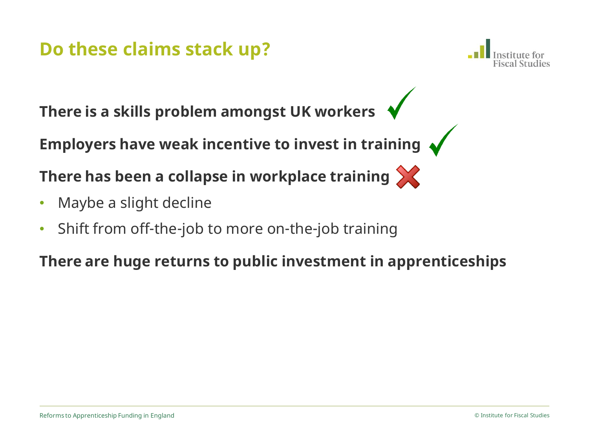## **Do these claims stack up?**



**There is a skills problem amongst UK workers** 

**Employers have weak incentive to invest in training**

**There has been a collapse in workplace training**

- Maybe a slight decline
- Shift from off-the-job to more on-the-job training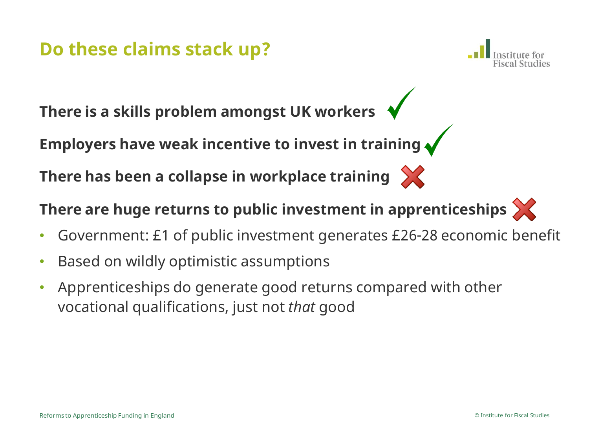## **Do these claims stack up?**



**There is a skills problem amongst UK workers** 

**Employers have weak incentive to invest in training**

**There has been a collapse in workplace training**



- Government: £1 of public investment generates £26-28 economic benefit
- Based on wildly optimistic assumptions
- Apprenticeships do generate good returns compared with other vocational qualifications, just not *that* good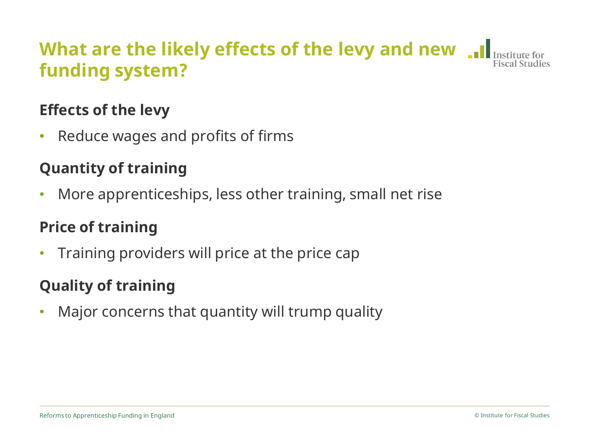# **What are the likely effects of the levy and new funding system?**

### **Effects of the levy**

• Reduce wages and profits of firms

#### **Quantity of training**

• More apprenticeships, less other training, small net rise

### **Price of training**

• Training providers will price at the price cap

### **Quality of training**

• Major concerns that quantity will trump quality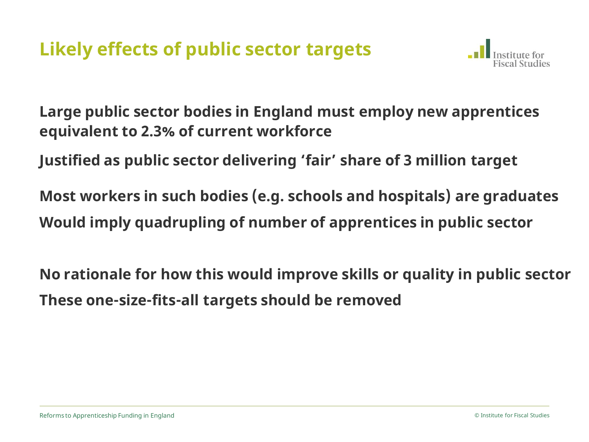

**Large public sector bodies in England must employ new apprentices equivalent to 2.3% of current workforce** 

**Justified as public sector delivering 'fair' share of 3 million target**

**Most workers in such bodies (e.g. schools and hospitals) are graduates Would imply quadrupling of number of apprentices in public sector**

**No rationale for how this would improve skills or quality in public sector These one-size-fits-all targets should be removed**